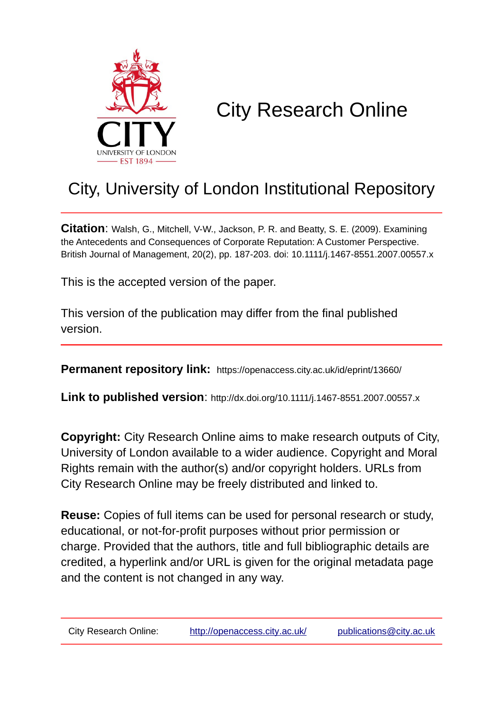

# City Research Online

# City, University of London Institutional Repository

**Citation**: Walsh, G., Mitchell, V-W., Jackson, P. R. and Beatty, S. E. (2009). Examining the Antecedents and Consequences of Corporate Reputation: A Customer Perspective. British Journal of Management, 20(2), pp. 187-203. doi: 10.1111/j.1467-8551.2007.00557.x

This is the accepted version of the paper.

This version of the publication may differ from the final published version.

**Permanent repository link:** https://openaccess.city.ac.uk/id/eprint/13660/

**Link to published version**: http://dx.doi.org/10.1111/j.1467-8551.2007.00557.x

**Copyright:** City Research Online aims to make research outputs of City, University of London available to a wider audience. Copyright and Moral Rights remain with the author(s) and/or copyright holders. URLs from City Research Online may be freely distributed and linked to.

**Reuse:** Copies of full items can be used for personal research or study, educational, or not-for-profit purposes without prior permission or charge. Provided that the authors, title and full bibliographic details are credited, a hyperlink and/or URL is given for the original metadata page and the content is not changed in any way.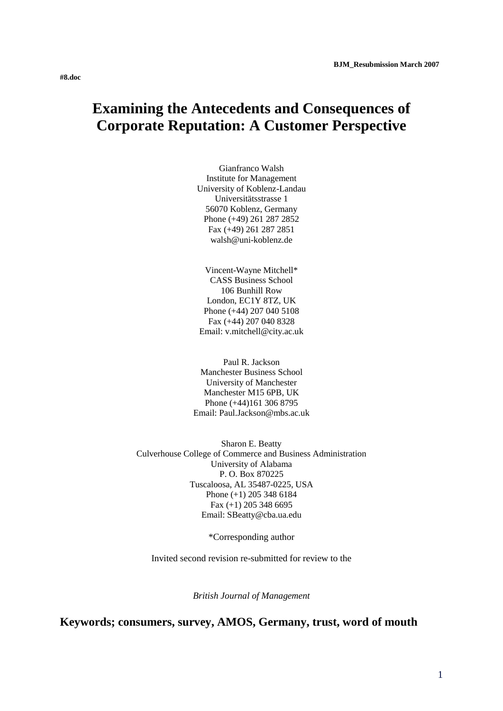## **Examining the Antecedents and Consequences of Corporate Reputation: A Customer Perspective**

Gianfranco Walsh Institute for Management University of Koblenz-Landau Universitätsstrasse 1 56070 Koblenz, Germany Phone (+49) 261 287 2852 Fax (+49) 261 287 2851 walsh@uni-koblenz.de

Vincent-Wayne Mitchell\* CASS Business School 106 Bunhill Row London, EC1Y 8TZ, UK Phone (+44) 207 040 5108 Fax (+44) 207 040 8328 Email: v.mitchell@city.ac.uk

Paul R. Jackson Manchester Business School University of Manchester Manchester M15 6PB, UK Phone (+44)161 306 8795 Email: Paul.Jackson@mbs.ac.uk

Sharon E. Beatty Culverhouse College of Commerce and Business Administration University of Alabama P. O. Box 870225 Tuscaloosa, AL 35487-0225, USA Phone (+1) 205 348 6184 Fax (+1) 205 348 6695 Email: SBeatty@cba.ua.edu

\*Corresponding author

Invited second revision re-submitted for review to the

*British Journal of Management*

**Keywords; consumers, survey, AMOS, Germany, trust, word of mouth**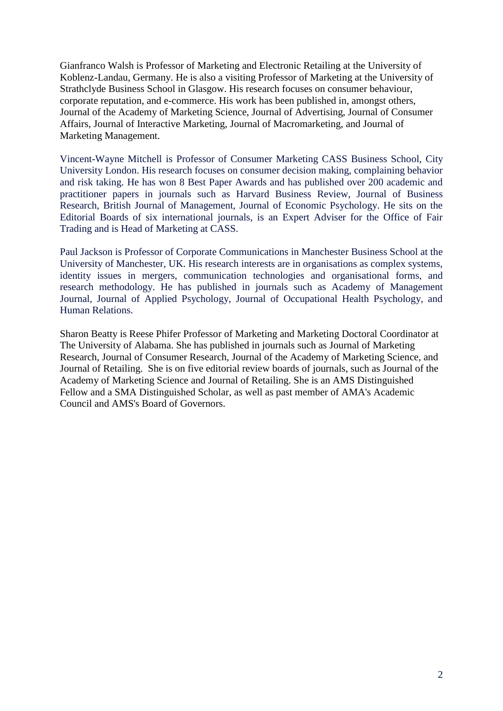Gianfranco Walsh is Professor of Marketing and Electronic Retailing at the University of Koblenz-Landau, Germany. He is also a visiting Professor of Marketing at the University of Strathclyde Business School in Glasgow. His research focuses on consumer behaviour, corporate reputation, and e-commerce. His work has been published in, amongst others, Journal of the Academy of Marketing Science, Journal of Advertising, Journal of Consumer Affairs, Journal of Interactive Marketing, Journal of Macromarketing, and Journal of Marketing Management.

Vincent-Wayne Mitchell is Professor of Consumer Marketing CASS Business School, City University London. His research focuses on consumer decision making, complaining behavior and risk taking. He has won 8 Best Paper Awards and has published over 200 academic and practitioner papers in journals such as Harvard Business Review, Journal of Business Research, British Journal of Management, Journal of Economic Psychology. He sits on the Editorial Boards of six international journals, is an Expert Adviser for the Office of Fair Trading and is Head of Marketing at CASS.

Paul Jackson is Professor of Corporate Communications in Manchester Business School at the University of Manchester, UK. His research interests are in organisations as complex systems, identity issues in mergers, communication technologies and organisational forms, and research methodology. He has published in journals such as Academy of Management Journal, Journal of Applied Psychology, Journal of Occupational Health Psychology, and Human Relations.

Sharon Beatty is Reese Phifer Professor of Marketing and Marketing Doctoral Coordinator at The University of Alabama. She has published in journals such as Journal of Marketing Research, Journal of Consumer Research, Journal of the Academy of Marketing Science, and Journal of Retailing. She is on five editorial review boards of journals, such as Journal of the Academy of Marketing Science and Journal of Retailing. She is an AMS Distinguished Fellow and a SMA Distinguished Scholar, as well as past member of AMA's Academic Council and AMS's Board of Governors.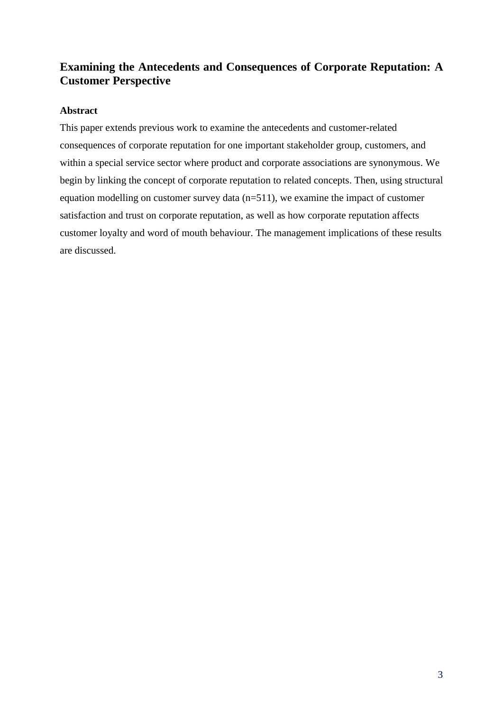## **Examining the Antecedents and Consequences of Corporate Reputation: A Customer Perspective**

## **Abstract**

This paper extends previous work to examine the antecedents and customer-related consequences of corporate reputation for one important stakeholder group, customers, and within a special service sector where product and corporate associations are synonymous. We begin by linking the concept of corporate reputation to related concepts. Then, using structural equation modelling on customer survey data (n=511), we examine the impact of customer satisfaction and trust on corporate reputation, as well as how corporate reputation affects customer loyalty and word of mouth behaviour. The management implications of these results are discussed.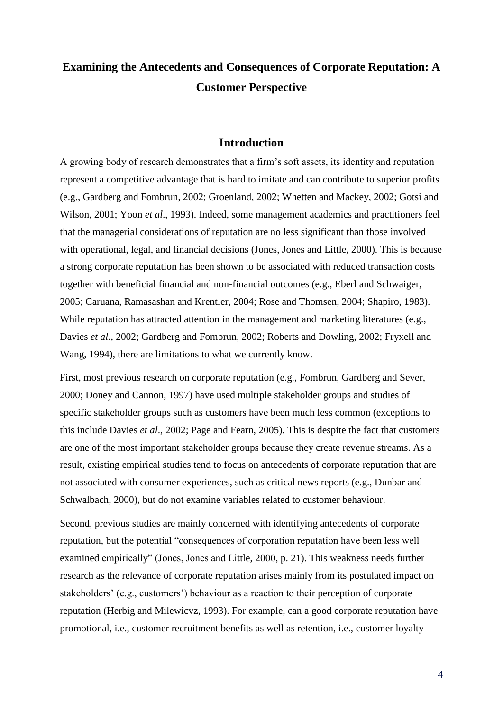## **Examining the Antecedents and Consequences of Corporate Reputation: A Customer Perspective**

#### **Introduction**

A growing body of research demonstrates that a firm's soft assets, its identity and reputation represent a competitive advantage that is hard to imitate and can contribute to superior profits (e.g., Gardberg and Fombrun, 2002; Groenland, 2002; Whetten and Mackey, 2002; Gotsi and Wilson, 2001; Yoon *et al*., 1993). Indeed, some management academics and practitioners feel that the managerial considerations of reputation are no less significant than those involved with operational, legal, and financial decisions (Jones, Jones and Little, 2000). This is because a strong corporate reputation has been shown to be associated with reduced transaction costs together with beneficial financial and non-financial outcomes (e.g., Eberl and Schwaiger, 2005; Caruana, Ramasashan and Krentler, 2004; Rose and Thomsen, 2004; Shapiro, 1983). While reputation has attracted attention in the management and marketing literatures (e.g., Davies *et al*., 2002; Gardberg and Fombrun, 2002; Roberts and Dowling, 2002; Fryxell and Wang, 1994), there are limitations to what we currently know.

First, most previous research on corporate reputation (e.g., Fombrun, Gardberg and Sever, 2000; Doney and Cannon, 1997) have used multiple stakeholder groups and studies of specific stakeholder groups such as customers have been much less common (exceptions to this include Davies *et al*., 2002; Page and Fearn, 2005). This is despite the fact that customers are one of the most important stakeholder groups because they create revenue streams. As a result, existing empirical studies tend to focus on antecedents of corporate reputation that are not associated with consumer experiences, such as critical news reports (e.g., Dunbar and Schwalbach, 2000), but do not examine variables related to customer behaviour.

Second, previous studies are mainly concerned with identifying antecedents of corporate reputation, but the potential "consequences of corporation reputation have been less well examined empirically" (Jones, Jones and Little, 2000, p. 21). This weakness needs further research as the relevance of corporate reputation arises mainly from its postulated impact on stakeholders' (e.g., customers') behaviour as a reaction to their perception of corporate reputation (Herbig and Milewicvz, 1993). For example, can a good corporate reputation have promotional, i.e., customer recruitment benefits as well as retention, i.e., customer loyalty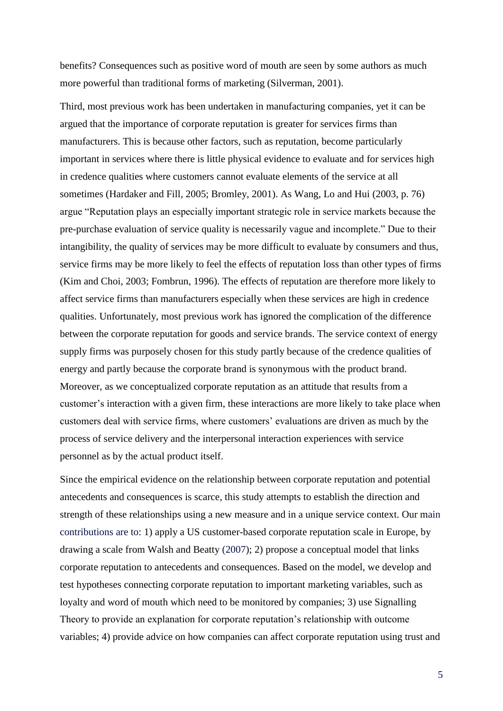benefits? Consequences such as positive word of mouth are seen by some authors as much more powerful than traditional forms of marketing (Silverman, 2001).

Third, most previous work has been undertaken in manufacturing companies, yet it can be argued that the importance of corporate reputation is greater for services firms than manufacturers. This is because other factors, such as reputation, become particularly important in services where there is little physical evidence to evaluate and for services high in credence qualities where customers cannot evaluate elements of the service at all sometimes (Hardaker and Fill, 2005; Bromley, 2001). As Wang, Lo and Hui (2003, p. 76) argue "Reputation plays an especially important strategic role in service markets because the pre-purchase evaluation of service quality is necessarily vague and incomplete." Due to their intangibility, the quality of services may be more difficult to evaluate by consumers and thus, service firms may be more likely to feel the effects of reputation loss than other types of firms (Kim and Choi, 2003; Fombrun, 1996). The effects of reputation are therefore more likely to affect service firms than manufacturers especially when these services are high in credence qualities. Unfortunately, most previous work has ignored the complication of the difference between the corporate reputation for goods and service brands. The service context of energy supply firms was purposely chosen for this study partly because of the credence qualities of energy and partly because the corporate brand is synonymous with the product brand. Moreover, as we conceptualized corporate reputation as an attitude that results from a customer's interaction with a given firm, these interactions are more likely to take place when customers deal with service firms, where customers' evaluations are driven as much by the process of service delivery and the interpersonal interaction experiences with service personnel as by the actual product itself.

Since the empirical evidence on the relationship between corporate reputation and potential antecedents and consequences is scarce, this study attempts to establish the direction and strength of these relationships using a new measure and in a unique service context. Our main contributions are to: 1) apply a US customer-based corporate reputation scale in Europe, by drawing a scale from Walsh and Beatty (2007); 2) propose a conceptual model that links corporate reputation to antecedents and consequences. Based on the model, we develop and test hypotheses connecting corporate reputation to important marketing variables, such as loyalty and word of mouth which need to be monitored by companies; 3) use Signalling Theory to provide an explanation for corporate reputation's relationship with outcome variables; 4) provide advice on how companies can affect corporate reputation using trust and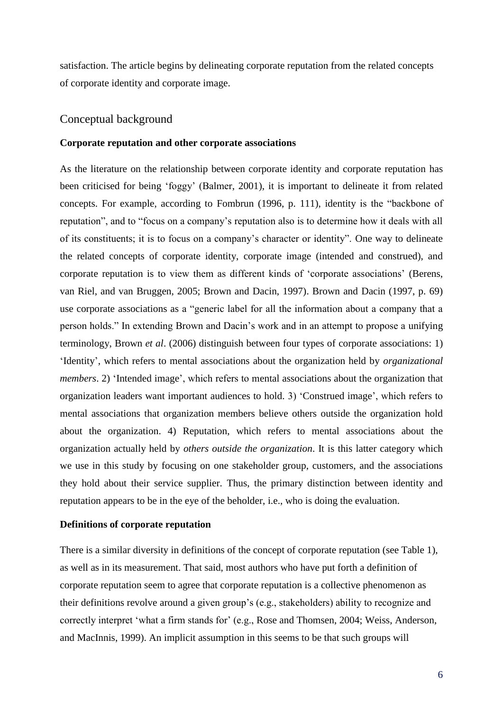satisfaction. The article begins by delineating corporate reputation from the related concepts of corporate identity and corporate image.

## Conceptual background

#### **Corporate reputation and other corporate associations**

As the literature on the relationship between corporate identity and corporate reputation has been criticised for being 'foggy' (Balmer, 2001), it is important to delineate it from related concepts. For example, according to Fombrun (1996, p. 111), identity is the "backbone of reputation", and to "focus on a company's reputation also is to determine how it deals with all of its constituents; it is to focus on a company's character or identity". One way to delineate the related concepts of corporate identity, corporate image (intended and construed), and corporate reputation is to view them as different kinds of 'corporate associations' (Berens, van Riel, and van Bruggen, 2005; Brown and Dacin, 1997). Brown and Dacin (1997, p. 69) use corporate associations as a "generic label for all the information about a company that a person holds." In extending Brown and Dacin's work and in an attempt to propose a unifying terminology, Brown *et al*. (2006) distinguish between four types of corporate associations: 1) 'Identity', which refers to mental associations about the organization held by *organizational members*. 2) 'Intended image', which refers to mental associations about the organization that organization leaders want important audiences to hold. 3) 'Construed image', which refers to mental associations that organization members believe others outside the organization hold about the organization. 4) Reputation, which refers to mental associations about the organization actually held by *others outside the organization*. It is this latter category which we use in this study by focusing on one stakeholder group, customers, and the associations they hold about their service supplier. Thus, the primary distinction between identity and reputation appears to be in the eye of the beholder, i.e., who is doing the evaluation.

#### **Definitions of corporate reputation**

There is a similar diversity in definitions of the concept of corporate reputation (see Table 1), as well as in its measurement. That said, most authors who have put forth a definition of corporate reputation seem to agree that corporate reputation is a collective phenomenon as their definitions revolve around a given group's (e.g., stakeholders) ability to recognize and correctly interpret 'what a firm stands for' (e.g., Rose and Thomsen, 2004; Weiss, Anderson, and MacInnis, 1999). An implicit assumption in this seems to be that such groups will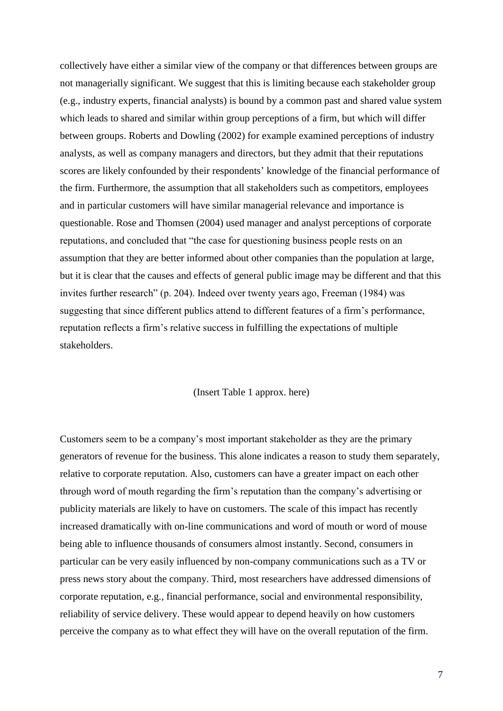collectively have either a similar view of the company or that differences between groups are not managerially significant. We suggest that this is limiting because each stakeholder group (e.g., industry experts, financial analysts) is bound by a common past and shared value system which leads to shared and similar within group perceptions of a firm, but which will differ between groups. Roberts and Dowling (2002) for example examined perceptions of industry analysts, as well as company managers and directors, but they admit that their reputations scores are likely confounded by their respondents' knowledge of the financial performance of the firm. Furthermore, the assumption that all stakeholders such as competitors, employees and in particular customers will have similar managerial relevance and importance is questionable. Rose and Thomsen (2004) used manager and analyst perceptions of corporate reputations, and concluded that "the case for questioning business people rests on an assumption that they are better informed about other companies than the population at large, but it is clear that the causes and effects of general public image may be different and that this invites further research" (p. 204). Indeed over twenty years ago, Freeman (1984) was suggesting that since different publics attend to different features of a firm's performance, reputation reflects a firm's relative success in fulfilling the expectations of multiple stakeholders.

#### (Insert Table 1 approx. here)

Customers seem to be a company's most important stakeholder as they are the primary generators of revenue for the business. This alone indicates a reason to study them separately, relative to corporate reputation. Also, customers can have a greater impact on each other through word of mouth regarding the firm's reputation than the company's advertising or publicity materials are likely to have on customers. The scale of this impact has recently increased dramatically with on-line communications and word of mouth or word of mouse being able to influence thousands of consumers almost instantly. Second, consumers in particular can be very easily influenced by non-company communications such as a TV or press news story about the company. Third, most researchers have addressed dimensions of corporate reputation, e.g., financial performance, social and environmental responsibility, reliability of service delivery. These would appear to depend heavily on how customers perceive the company as to what effect they will have on the overall reputation of the firm.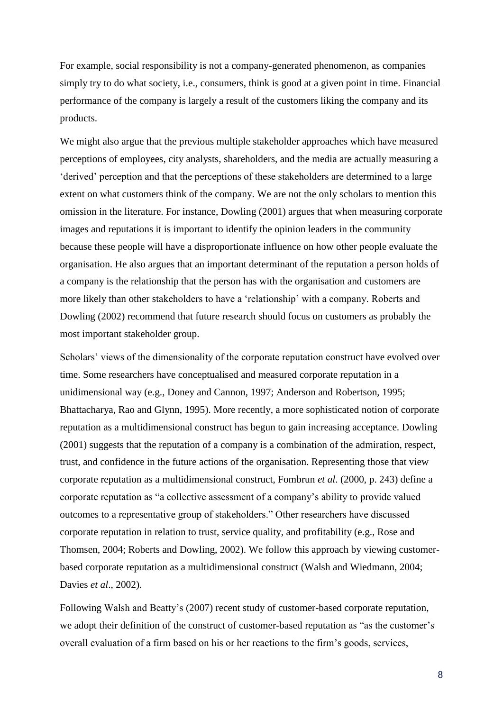For example, social responsibility is not a company-generated phenomenon, as companies simply try to do what society, i.e., consumers, think is good at a given point in time. Financial performance of the company is largely a result of the customers liking the company and its products.

We might also argue that the previous multiple stakeholder approaches which have measured perceptions of employees, city analysts, shareholders, and the media are actually measuring a 'derived' perception and that the perceptions of these stakeholders are determined to a large extent on what customers think of the company. We are not the only scholars to mention this omission in the literature. For instance, Dowling (2001) argues that when measuring corporate images and reputations it is important to identify the opinion leaders in the community because these people will have a disproportionate influence on how other people evaluate the organisation. He also argues that an important determinant of the reputation a person holds of a company is the relationship that the person has with the organisation and customers are more likely than other stakeholders to have a 'relationship' with a company. Roberts and Dowling (2002) recommend that future research should focus on customers as probably the most important stakeholder group.

Scholars' views of the dimensionality of the corporate reputation construct have evolved over time. Some researchers have conceptualised and measured corporate reputation in a unidimensional way (e.g., Doney and Cannon, 1997; Anderson and Robertson, 1995; Bhattacharya, Rao and Glynn, 1995). More recently, a more sophisticated notion of corporate reputation as a multidimensional construct has begun to gain increasing acceptance. Dowling (2001) suggests that the reputation of a company is a combination of the admiration, respect, trust, and confidence in the future actions of the organisation. Representing those that view corporate reputation as a multidimensional construct, Fombrun *et al*. (2000, p. 243) define a corporate reputation as "a collective assessment of a company's ability to provide valued outcomes to a representative group of stakeholders." Other researchers have discussed corporate reputation in relation to trust, service quality, and profitability (e.g., Rose and Thomsen, 2004; Roberts and Dowling, 2002). We follow this approach by viewing customerbased corporate reputation as a multidimensional construct (Walsh and Wiedmann, 2004; Davies *et al*., 2002).

Following Walsh and Beatty's (2007) recent study of customer-based corporate reputation, we adopt their definition of the construct of customer-based reputation as "as the customer's overall evaluation of a firm based on his or her reactions to the firm's goods, services,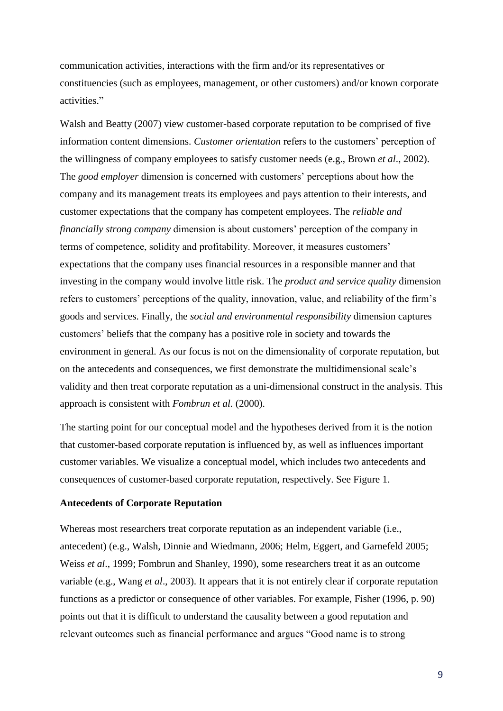communication activities, interactions with the firm and/or its representatives or constituencies (such as employees, management, or other customers) and/or known corporate activities."

Walsh and Beatty (2007) view customer-based corporate reputation to be comprised of five information content dimensions. *Customer orientation* refers to the customers' perception of the willingness of company employees to satisfy customer needs (e.g., Brown *et al*., 2002). The *good employer* dimension is concerned with customers' perceptions about how the company and its management treats its employees and pays attention to their interests, and customer expectations that the company has competent employees. The *reliable and financially strong company* dimension is about customers' perception of the company in terms of competence, solidity and profitability. Moreover, it measures customers' expectations that the company uses financial resources in a responsible manner and that investing in the company would involve little risk. The *product and service quality* dimension refers to customers' perceptions of the quality, innovation, value, and reliability of the firm's goods and services. Finally, the *social and environmental responsibility* dimension captures customers' beliefs that the company has a positive role in society and towards the environment in general. As our focus is not on the dimensionality of corporate reputation, but on the antecedents and consequences, we first demonstrate the multidimensional scale's validity and then treat corporate reputation as a uni-dimensional construct in the analysis. This approach is consistent with *Fombrun et al.* (2000).

The starting point for our conceptual model and the hypotheses derived from it is the notion that customer-based corporate reputation is influenced by, as well as influences important customer variables. We visualize a conceptual model, which includes two antecedents and consequences of customer-based corporate reputation, respectively. See Figure 1.

#### **Antecedents of Corporate Reputation**

Whereas most researchers treat corporate reputation as an independent variable (i.e., antecedent) (e.g., Walsh, Dinnie and Wiedmann, 2006; Helm, Eggert, and Garnefeld 2005; Weiss *et al*., 1999; Fombrun and Shanley, 1990), some researchers treat it as an outcome variable (e.g., Wang *et al*., 2003). It appears that it is not entirely clear if corporate reputation functions as a predictor or consequence of other variables. For example, Fisher (1996, p. 90) points out that it is difficult to understand the causality between a good reputation and relevant outcomes such as financial performance and argues "Good name is to strong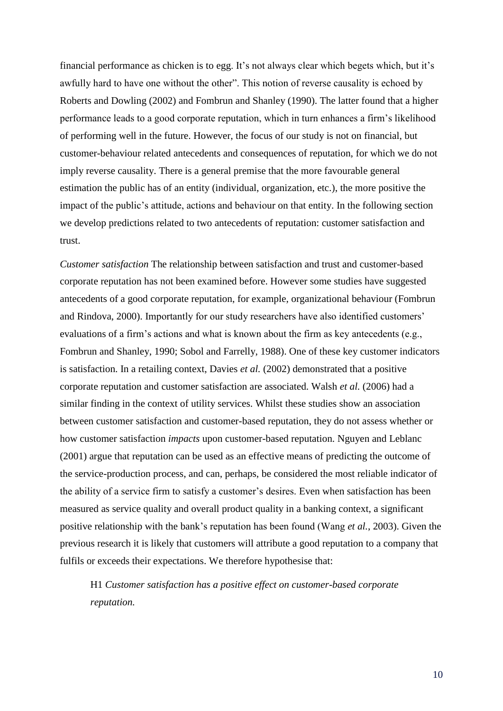financial performance as chicken is to egg. It's not always clear which begets which, but it's awfully hard to have one without the other". This notion of reverse causality is echoed by Roberts and Dowling (2002) and Fombrun and Shanley (1990). The latter found that a higher performance leads to a good corporate reputation, which in turn enhances a firm's likelihood of performing well in the future. However, the focus of our study is not on financial, but customer-behaviour related antecedents and consequences of reputation, for which we do not imply reverse causality. There is a general premise that the more favourable general estimation the public has of an entity (individual, organization, etc.), the more positive the impact of the public's attitude, actions and behaviour on that entity. In the following section we develop predictions related to two antecedents of reputation: customer satisfaction and trust.

*Customer satisfaction* The relationship between satisfaction and trust and customer-based corporate reputation has not been examined before. However some studies have suggested antecedents of a good corporate reputation, for example, organizational behaviour (Fombrun and Rindova, 2000). Importantly for our study researchers have also identified customers' evaluations of a firm's actions and what is known about the firm as key antecedents (e.g., Fombrun and Shanley, 1990; Sobol and Farrelly, 1988). One of these key customer indicators is satisfaction. In a retailing context, Davies *et al.* (2002) demonstrated that a positive corporate reputation and customer satisfaction are associated. Walsh *et al.* (2006) had a similar finding in the context of utility services. Whilst these studies show an association between customer satisfaction and customer-based reputation, they do not assess whether or how customer satisfaction *impacts* upon customer-based reputation. Nguyen and Leblanc (2001) argue that reputation can be used as an effective means of predicting the outcome of the service-production process, and can, perhaps, be considered the most reliable indicator of the ability of a service firm to satisfy a customer's desires. Even when satisfaction has been measured as service quality and overall product quality in a banking context, a significant positive relationship with the bank's reputation has been found (Wang *et al.*, 2003). Given the previous research it is likely that customers will attribute a good reputation to a company that fulfils or exceeds their expectations. We therefore hypothesise that:

H1 *Customer satisfaction has a positive effect on customer-based corporate reputation.*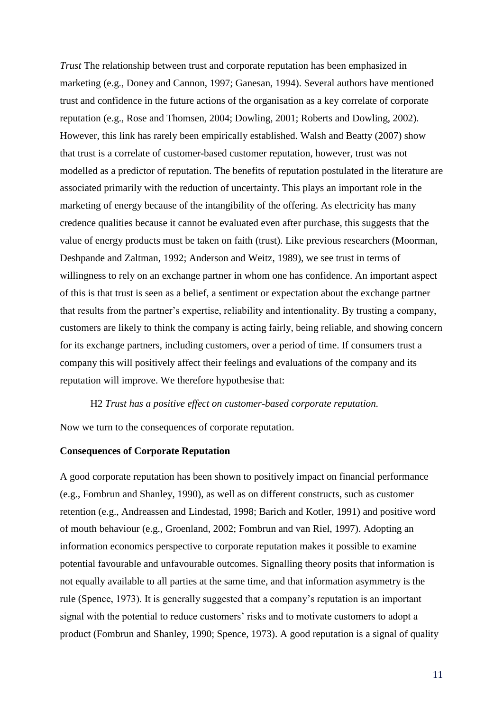*Trust* The relationship between trust and corporate reputation has been emphasized in marketing (e.g., Doney and Cannon, 1997; Ganesan, 1994). Several authors have mentioned trust and confidence in the future actions of the organisation as a key correlate of corporate reputation (e.g., Rose and Thomsen, 2004; Dowling, 2001; Roberts and Dowling, 2002). However, this link has rarely been empirically established. Walsh and Beatty (2007) show that trust is a correlate of customer-based customer reputation, however, trust was not modelled as a predictor of reputation. The benefits of reputation postulated in the literature are associated primarily with the reduction of uncertainty. This plays an important role in the marketing of energy because of the intangibility of the offering. As electricity has many credence qualities because it cannot be evaluated even after purchase, this suggests that the value of energy products must be taken on faith (trust). Like previous researchers (Moorman, Deshpande and Zaltman, 1992; Anderson and Weitz, 1989), we see trust in terms of willingness to rely on an exchange partner in whom one has confidence. An important aspect of this is that trust is seen as a belief, a sentiment or expectation about the exchange partner that results from the partner's expertise, reliability and intentionality. By trusting a company, customers are likely to think the company is acting fairly, being reliable, and showing concern for its exchange partners, including customers, over a period of time. If consumers trust a company this will positively affect their feelings and evaluations of the company and its reputation will improve. We therefore hypothesise that:

H2 *Trust has a positive effect on customer-based corporate reputation.*

Now we turn to the consequences of corporate reputation.

#### **Consequences of Corporate Reputation**

A good corporate reputation has been shown to positively impact on financial performance (e.g., Fombrun and Shanley, 1990), as well as on different constructs, such as customer retention (e.g., Andreassen and Lindestad, 1998; Barich and Kotler, 1991) and positive word of mouth behaviour (e.g., Groenland, 2002; Fombrun and van Riel, 1997). Adopting an information economics perspective to corporate reputation makes it possible to examine potential favourable and unfavourable outcomes. Signalling theory posits that information is not equally available to all parties at the same time, and that information asymmetry is the rule (Spence, 1973). It is generally suggested that a company's reputation is an important signal with the potential to reduce customers' risks and to motivate customers to adopt a product (Fombrun and Shanley, 1990; Spence, 1973). A good reputation is a signal of quality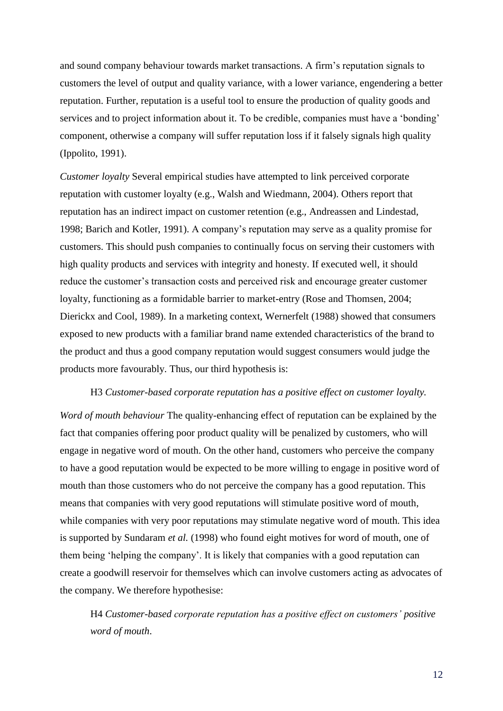and sound company behaviour towards market transactions. A firm's reputation signals to customers the level of output and quality variance, with a lower variance, engendering a better reputation. Further, reputation is a useful tool to ensure the production of quality goods and services and to project information about it. To be credible, companies must have a 'bonding' component, otherwise a company will suffer reputation loss if it falsely signals high quality (Ippolito, 1991).

*Customer loyalty* Several empirical studies have attempted to link perceived corporate reputation with customer loyalty (e.g., Walsh and Wiedmann, 2004). Others report that reputation has an indirect impact on customer retention (e.g., Andreassen and Lindestad, 1998; Barich and Kotler, 1991). A company's reputation may serve as a quality promise for customers. This should push companies to continually focus on serving their customers with high quality products and services with integrity and honesty. If executed well, it should reduce the customer's transaction costs and perceived risk and encourage greater customer loyalty, functioning as a formidable barrier to market-entry (Rose and Thomsen, 2004; Dierickx and Cool, 1989). In a marketing context, Wernerfelt (1988) showed that consumers exposed to new products with a familiar brand name extended characteristics of the brand to the product and thus a good company reputation would suggest consumers would judge the products more favourably. Thus, our third hypothesis is:

#### H3 *Customer-based corporate reputation has a positive effect on customer loyalty.*

*Word of mouth behaviour* The quality-enhancing effect of reputation can be explained by the fact that companies offering poor product quality will be penalized by customers, who will engage in negative word of mouth. On the other hand, customers who perceive the company to have a good reputation would be expected to be more willing to engage in positive word of mouth than those customers who do not perceive the company has a good reputation. This means that companies with very good reputations will stimulate positive word of mouth, while companies with very poor reputations may stimulate negative word of mouth. This idea is supported by Sundaram *et al.* (1998) who found eight motives for word of mouth, one of them being 'helping the company'. It is likely that companies with a good reputation can create a goodwill reservoir for themselves which can involve customers acting as advocates of the company. We therefore hypothesise:

H4 *Customer-based corporate reputation has a positive effect on customers' positive word of mouth*.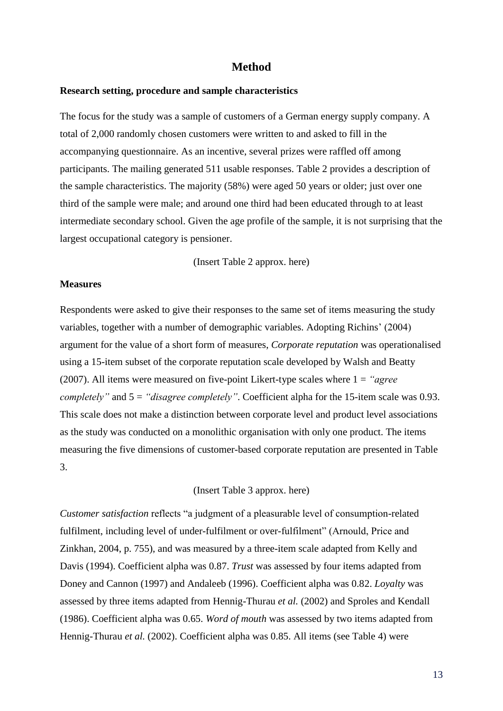#### **Method**

#### **Research setting, procedure and sample characteristics**

The focus for the study was a sample of customers of a German energy supply company. A total of 2,000 randomly chosen customers were written to and asked to fill in the accompanying questionnaire. As an incentive, several prizes were raffled off among participants. The mailing generated 511 usable responses. Table 2 provides a description of the sample characteristics. The majority (58%) were aged 50 years or older; just over one third of the sample were male; and around one third had been educated through to at least intermediate secondary school. Given the age profile of the sample, it is not surprising that the largest occupational category is pensioner.

(Insert Table 2 approx. here)

#### **Measures**

Respondents were asked to give their responses to the same set of items measuring the study variables, together with a number of demographic variables. Adopting Richins' (2004) argument for the value of a short form of measures, *Corporate reputation* was operationalised using a 15-item subset of the corporate reputation scale developed by Walsh and Beatty (2007). All items were measured on five-point Likert-type scales where 1 = *"agree completely"* and 5 = *"disagree completely"*. Coefficient alpha for the 15-item scale was 0.93. This scale does not make a distinction between corporate level and product level associations as the study was conducted on a monolithic organisation with only one product. The items measuring the five dimensions of customer-based corporate reputation are presented in Table 3.

(Insert Table 3 approx. here)

*Customer satisfaction* reflects "a judgment of a pleasurable level of consumption-related fulfilment, including level of under-fulfilment or over-fulfilment" (Arnould, Price and Zinkhan, 2004, p. 755), and was measured by a three-item scale adapted from Kelly and Davis (1994). Coefficient alpha was 0.87. *Trust* was assessed by four items adapted from Doney and Cannon (1997) and Andaleeb (1996). Coefficient alpha was 0.82. *Loyalty* was assessed by three items adapted from Hennig-Thurau *et al.* (2002) and Sproles and Kendall (1986). Coefficient alpha was 0.65. *Word of mouth* was assessed by two items adapted from Hennig-Thurau *et al.* (2002). Coefficient alpha was 0.85. All items (see Table 4) were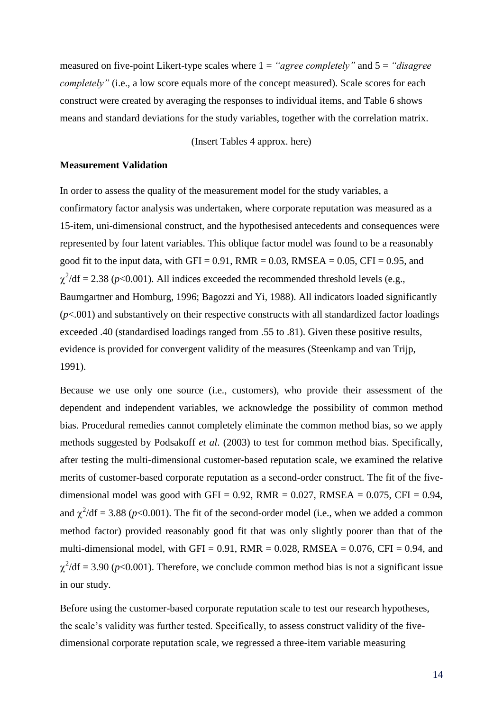measured on five-point Likert-type scales where 1 = *"agree completely"* and 5 = *"disagree completely*" (i.e., a low score equals more of the concept measured). Scale scores for each construct were created by averaging the responses to individual items, and Table 6 shows means and standard deviations for the study variables, together with the correlation matrix.

(Insert Tables 4 approx. here)

#### **Measurement Validation**

In order to assess the quality of the measurement model for the study variables, a confirmatory factor analysis was undertaken, where corporate reputation was measured as a 15-item, uni-dimensional construct, and the hypothesised antecedents and consequences were represented by four latent variables. This oblique factor model was found to be a reasonably good fit to the input data, with GFI =  $0.91$ , RMR =  $0.03$ , RMSEA =  $0.05$ , CFI =  $0.95$ , and  $\chi^2$ /df = 2.38 (*p*<0.001). All indices exceeded the recommended threshold levels (e.g., Baumgartner and Homburg, 1996; Bagozzi and Yi, 1988). All indicators loaded significantly (*p*<.001) and substantively on their respective constructs with all standardized factor loadings exceeded .40 (standardised loadings ranged from .55 to .81). Given these positive results, evidence is provided for convergent validity of the measures (Steenkamp and van Trijp, 1991).

Because we use only one source (i.e., customers), who provide their assessment of the dependent and independent variables, we acknowledge the possibility of common method bias. Procedural remedies cannot completely eliminate the common method bias, so we apply methods suggested by Podsakoff *et al*. (2003) to test for common method bias. Specifically, after testing the multi-dimensional customer-based reputation scale, we examined the relative merits of customer-based corporate reputation as a second-order construct. The fit of the fivedimensional model was good with GFI =  $0.92$ , RMR =  $0.027$ , RMSEA =  $0.075$ , CFI =  $0.94$ , and  $\chi^2$ /df = 3.88 (*p*<0.001). The fit of the second-order model (i.e., when we added a common method factor) provided reasonably good fit that was only slightly poorer than that of the multi-dimensional model, with GFI =  $0.91$ , RMR =  $0.028$ , RMSEA =  $0.076$ , CFI = 0.94, and  $\chi^2$ /df = 3.90 (*p*<0.001). Therefore, we conclude common method bias is not a significant issue in our study.

Before using the customer-based corporate reputation scale to test our research hypotheses, the scale's validity was further tested. Specifically, to assess construct validity of the fivedimensional corporate reputation scale, we regressed a three-item variable measuring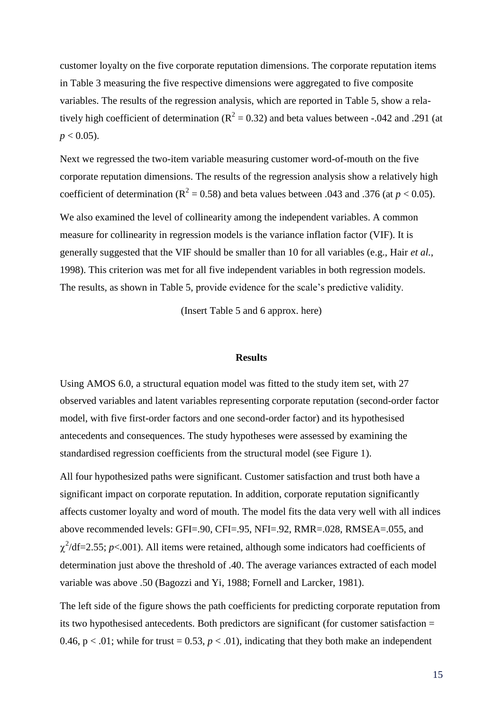customer loyalty on the five corporate reputation dimensions. The corporate reputation items in Table 3 measuring the five respective dimensions were aggregated to five composite variables. The results of the regression analysis, which are reported in Table 5, show a relatively high coefficient of determination ( $R^2 = 0.32$ ) and beta values between -.042 and .291 (at  $p < 0.05$ ).

Next we regressed the two-item variable measuring customer word-of-mouth on the five corporate reputation dimensions. The results of the regression analysis show a relatively high coefficient of determination ( $R^2 = 0.58$ ) and beta values between .043 and .376 (at  $p < 0.05$ ).

We also examined the level of collinearity among the independent variables. A common measure for collinearity in regression models is the variance inflation factor (VIF). It is generally suggested that the VIF should be smaller than 10 for all variables (e.g., Hair *et al.*, 1998). This criterion was met for all five independent variables in both regression models. The results, as shown in Table 5, provide evidence for the scale's predictive validity.

(Insert Table 5 and 6 approx. here)

#### **Results**

Using AMOS 6.0, a structural equation model was fitted to the study item set, with 27 observed variables and latent variables representing corporate reputation (second-order factor model, with five first-order factors and one second-order factor) and its hypothesised antecedents and consequences. The study hypotheses were assessed by examining the standardised regression coefficients from the structural model (see Figure 1).

All four hypothesized paths were significant. Customer satisfaction and trust both have a significant impact on corporate reputation. In addition, corporate reputation significantly affects customer loyalty and word of mouth. The model fits the data very well with all indices above recommended levels: GFI=.90, CFI=.95, NFI=.92, RMR=.028, RMSEA=.055, and  $\chi^2$ /df=2.55; *p*<.001). All items were retained, although some indicators had coefficients of determination just above the threshold of .40. The average variances extracted of each model variable was above .50 (Bagozzi and Yi, 1988; Fornell and Larcker, 1981).

The left side of the figure shows the path coefficients for predicting corporate reputation from its two hypothesised antecedents. Both predictors are significant (for customer satisfaction = 0.46,  $p < .01$ ; while for trust = 0.53,  $p < .01$ ), indicating that they both make an independent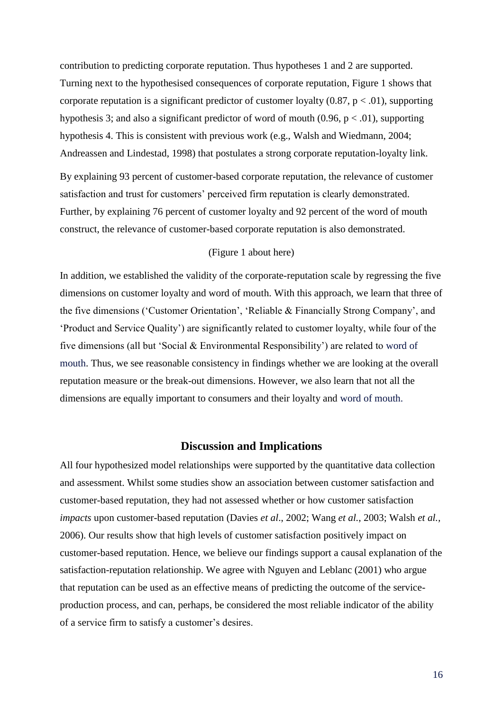contribution to predicting corporate reputation. Thus hypotheses 1 and 2 are supported. Turning next to the hypothesised consequences of corporate reputation, Figure 1 shows that corporate reputation is a significant predictor of customer loyalty  $(0.87, p < .01)$ , supporting hypothesis 3; and also a significant predictor of word of mouth (0.96,  $p < .01$ ), supporting hypothesis 4. This is consistent with previous work (e.g., Walsh and Wiedmann, 2004; Andreassen and Lindestad, 1998) that postulates a strong corporate reputation-loyalty link.

By explaining 93 percent of customer-based corporate reputation, the relevance of customer satisfaction and trust for customers' perceived firm reputation is clearly demonstrated. Further, by explaining 76 percent of customer loyalty and 92 percent of the word of mouth construct, the relevance of customer-based corporate reputation is also demonstrated.

#### (Figure 1 about here)

In addition, we established the validity of the corporate-reputation scale by regressing the five dimensions on customer loyalty and word of mouth. With this approach, we learn that three of the five dimensions ('Customer Orientation', 'Reliable & Financially Strong Company', and 'Product and Service Quality') are significantly related to customer loyalty, while four of the five dimensions (all but 'Social & Environmental Responsibility') are related to word of mouth. Thus, we see reasonable consistency in findings whether we are looking at the overall reputation measure or the break-out dimensions. However, we also learn that not all the dimensions are equally important to consumers and their loyalty and word of mouth.

#### **Discussion and Implications**

All four hypothesized model relationships were supported by the quantitative data collection and assessment. Whilst some studies show an association between customer satisfaction and customer-based reputation, they had not assessed whether or how customer satisfaction *impacts* upon customer-based reputation (Davies *et al*., 2002; Wang *et al.*, 2003; Walsh *et al.,* 2006). Our results show that high levels of customer satisfaction positively impact on customer-based reputation. Hence, we believe our findings support a causal explanation of the satisfaction-reputation relationship. We agree with Nguyen and Leblanc (2001) who argue that reputation can be used as an effective means of predicting the outcome of the serviceproduction process, and can, perhaps, be considered the most reliable indicator of the ability of a service firm to satisfy a customer's desires.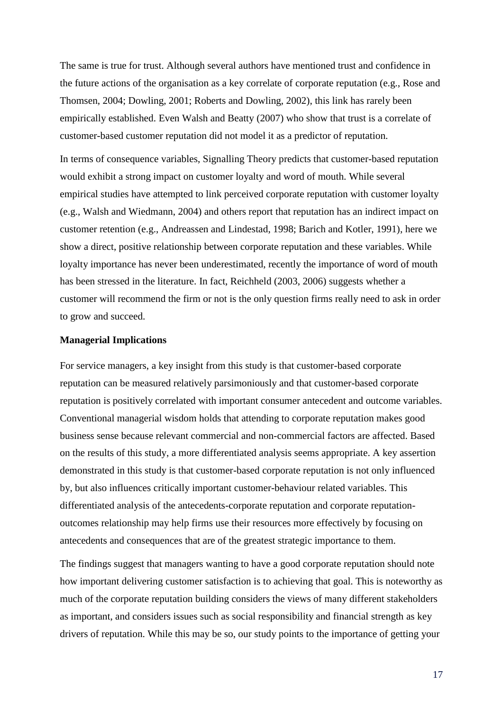The same is true for trust. Although several authors have mentioned trust and confidence in the future actions of the organisation as a key correlate of corporate reputation (e.g., Rose and Thomsen, 2004; Dowling, 2001; Roberts and Dowling, 2002), this link has rarely been empirically established. Even Walsh and Beatty (2007) who show that trust is a correlate of customer-based customer reputation did not model it as a predictor of reputation.

In terms of consequence variables, Signalling Theory predicts that customer-based reputation would exhibit a strong impact on customer loyalty and word of mouth. While several empirical studies have attempted to link perceived corporate reputation with customer loyalty (e.g., Walsh and Wiedmann, 2004) and others report that reputation has an indirect impact on customer retention (e.g., Andreassen and Lindestad, 1998; Barich and Kotler, 1991), here we show a direct, positive relationship between corporate reputation and these variables. While loyalty importance has never been underestimated, recently the importance of word of mouth has been stressed in the literature. In fact, Reichheld (2003, 2006) suggests whether a customer will recommend the firm or not is the only question firms really need to ask in order to grow and succeed.

#### **Managerial Implications**

For service managers, a key insight from this study is that customer-based corporate reputation can be measured relatively parsimoniously and that customer-based corporate reputation is positively correlated with important consumer antecedent and outcome variables. Conventional managerial wisdom holds that attending to corporate reputation makes good business sense because relevant commercial and non-commercial factors are affected. Based on the results of this study, a more differentiated analysis seems appropriate. A key assertion demonstrated in this study is that customer-based corporate reputation is not only influenced by, but also influences critically important customer-behaviour related variables. This differentiated analysis of the antecedents-corporate reputation and corporate reputationoutcomes relationship may help firms use their resources more effectively by focusing on antecedents and consequences that are of the greatest strategic importance to them.

The findings suggest that managers wanting to have a good corporate reputation should note how important delivering customer satisfaction is to achieving that goal. This is noteworthy as much of the corporate reputation building considers the views of many different stakeholders as important, and considers issues such as social responsibility and financial strength as key drivers of reputation. While this may be so, our study points to the importance of getting your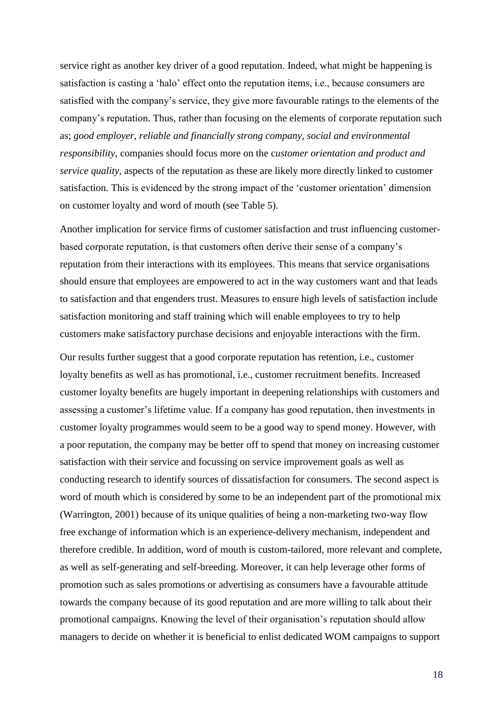service right as another key driver of a good reputation. Indeed, what might be happening is satisfaction is casting a 'halo' effect onto the reputation items, i.e., because consumers are satisfied with the company's service, they give more favourable ratings to the elements of the company's reputation. Thus, rather than focusing on the elements of corporate reputation such as; *good employer*, *reliable and financially strong company, social and environmental responsibility*, companies should focus more on the c*ustomer orientation and product and service quality,* aspects of the reputation as these are likely more directly linked to customer satisfaction. This is evidenced by the strong impact of the 'customer orientation' dimension on customer loyalty and word of mouth (see Table 5).

Another implication for service firms of customer satisfaction and trust influencing customerbased corporate reputation, is that customers often derive their sense of a company's reputation from their interactions with its employees. This means that service organisations should ensure that employees are empowered to act in the way customers want and that leads to satisfaction and that engenders trust. Measures to ensure high levels of satisfaction include satisfaction monitoring and staff training which will enable employees to try to help customers make satisfactory purchase decisions and enjoyable interactions with the firm.

Our results further suggest that a good corporate reputation has retention, i.e., customer loyalty benefits as well as has promotional, i.e., customer recruitment benefits. Increased customer loyalty benefits are hugely important in deepening relationships with customers and assessing a customer's lifetime value. If a company has good reputation, then investments in customer loyalty programmes would seem to be a good way to spend money. However, with a poor reputation, the company may be better off to spend that money on increasing customer satisfaction with their service and focussing on service improvement goals as well as conducting research to identify sources of dissatisfaction for consumers. The second aspect is word of mouth which is considered by some to be an independent part of the promotional mix (Warrington, 2001) because of its unique qualities of being a non-marketing two-way flow free exchange of information which is an experience-delivery mechanism, independent and therefore credible. In addition, word of mouth is custom-tailored, more relevant and complete, as well as self-generating and self-breeding. Moreover, it can help leverage other forms of promotion such as sales promotions or advertising as consumers have a favourable attitude towards the company because of its good reputation and are more willing to talk about their promotional campaigns. Knowing the level of their organisation's reputation should allow managers to decide on whether it is beneficial to enlist dedicated WOM campaigns to support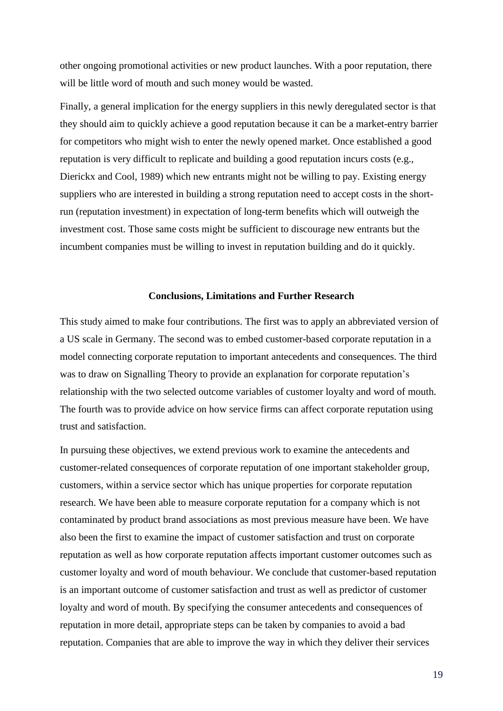other ongoing promotional activities or new product launches. With a poor reputation, there will be little word of mouth and such money would be wasted.

Finally, a general implication for the energy suppliers in this newly deregulated sector is that they should aim to quickly achieve a good reputation because it can be a market-entry barrier for competitors who might wish to enter the newly opened market. Once established a good reputation is very difficult to replicate and building a good reputation incurs costs (e.g., Dierickx and Cool, 1989) which new entrants might not be willing to pay. Existing energy suppliers who are interested in building a strong reputation need to accept costs in the shortrun (reputation investment) in expectation of long-term benefits which will outweigh the investment cost. Those same costs might be sufficient to discourage new entrants but the incumbent companies must be willing to invest in reputation building and do it quickly.

#### **Conclusions, Limitations and Further Research**

This study aimed to make four contributions. The first was to apply an abbreviated version of a US scale in Germany. The second was to embed customer-based corporate reputation in a model connecting corporate reputation to important antecedents and consequences. The third was to draw on Signalling Theory to provide an explanation for corporate reputation's relationship with the two selected outcome variables of customer loyalty and word of mouth. The fourth was to provide advice on how service firms can affect corporate reputation using trust and satisfaction.

In pursuing these objectives, we extend previous work to examine the antecedents and customer-related consequences of corporate reputation of one important stakeholder group, customers, within a service sector which has unique properties for corporate reputation research. We have been able to measure corporate reputation for a company which is not contaminated by product brand associations as most previous measure have been. We have also been the first to examine the impact of customer satisfaction and trust on corporate reputation as well as how corporate reputation affects important customer outcomes such as customer loyalty and word of mouth behaviour. We conclude that customer-based reputation is an important outcome of customer satisfaction and trust as well as predictor of customer loyalty and word of mouth. By specifying the consumer antecedents and consequences of reputation in more detail, appropriate steps can be taken by companies to avoid a bad reputation. Companies that are able to improve the way in which they deliver their services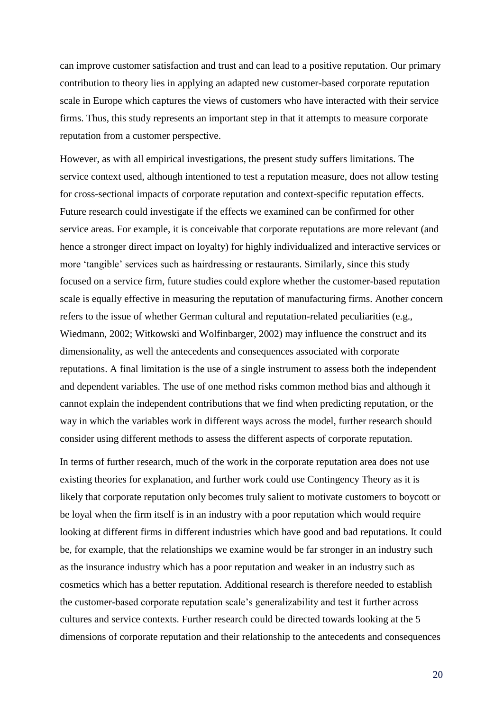can improve customer satisfaction and trust and can lead to a positive reputation. Our primary contribution to theory lies in applying an adapted new customer-based corporate reputation scale in Europe which captures the views of customers who have interacted with their service firms. Thus, this study represents an important step in that it attempts to measure corporate reputation from a customer perspective.

However, as with all empirical investigations, the present study suffers limitations. The service context used, although intentioned to test a reputation measure, does not allow testing for cross-sectional impacts of corporate reputation and context-specific reputation effects. Future research could investigate if the effects we examined can be confirmed for other service areas. For example, it is conceivable that corporate reputations are more relevant (and hence a stronger direct impact on loyalty) for highly individualized and interactive services or more 'tangible' services such as hairdressing or restaurants. Similarly, since this study focused on a service firm, future studies could explore whether the customer-based reputation scale is equally effective in measuring the reputation of manufacturing firms. Another concern refers to the issue of whether German cultural and reputation-related peculiarities (e.g., Wiedmann, 2002; Witkowski and Wolfinbarger, 2002) may influence the construct and its dimensionality, as well the antecedents and consequences associated with corporate reputations. A final limitation is the use of a single instrument to assess both the independent and dependent variables. The use of one method risks common method bias and although it cannot explain the independent contributions that we find when predicting reputation, or the way in which the variables work in different ways across the model, further research should consider using different methods to assess the different aspects of corporate reputation.

In terms of further research, much of the work in the corporate reputation area does not use existing theories for explanation, and further work could use Contingency Theory as it is likely that corporate reputation only becomes truly salient to motivate customers to boycott or be loyal when the firm itself is in an industry with a poor reputation which would require looking at different firms in different industries which have good and bad reputations. It could be, for example, that the relationships we examine would be far stronger in an industry such as the insurance industry which has a poor reputation and weaker in an industry such as cosmetics which has a better reputation. Additional research is therefore needed to establish the customer-based corporate reputation scale's generalizability and test it further across cultures and service contexts. Further research could be directed towards looking at the 5 dimensions of corporate reputation and their relationship to the antecedents and consequences

20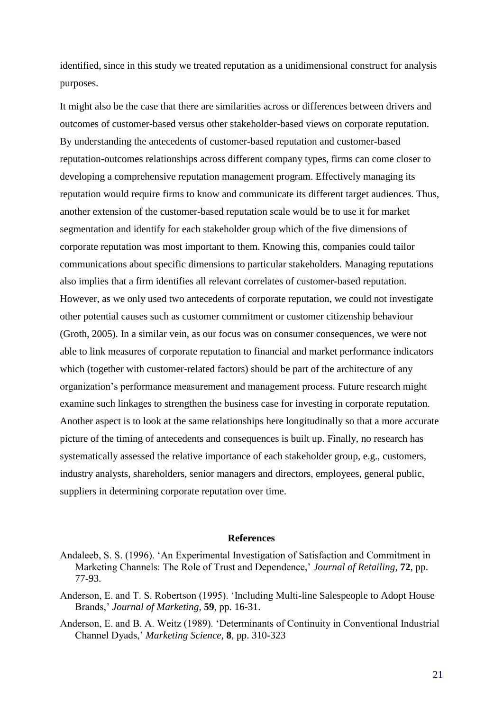identified, since in this study we treated reputation as a unidimensional construct for analysis purposes.

It might also be the case that there are similarities across or differences between drivers and outcomes of customer-based versus other stakeholder-based views on corporate reputation. By understanding the antecedents of customer-based reputation and customer-based reputation-outcomes relationships across different company types, firms can come closer to developing a comprehensive reputation management program. Effectively managing its reputation would require firms to know and communicate its different target audiences. Thus, another extension of the customer-based reputation scale would be to use it for market segmentation and identify for each stakeholder group which of the five dimensions of corporate reputation was most important to them. Knowing this, companies could tailor communications about specific dimensions to particular stakeholders. Managing reputations also implies that a firm identifies all relevant correlates of customer-based reputation. However, as we only used two antecedents of corporate reputation, we could not investigate other potential causes such as customer commitment or customer citizenship behaviour (Groth, 2005). In a similar vein, as our focus was on consumer consequences, we were not able to link measures of corporate reputation to financial and market performance indicators which (together with customer-related factors) should be part of the architecture of any organization's performance measurement and management process. Future research might examine such linkages to strengthen the business case for investing in corporate reputation. Another aspect is to look at the same relationships here longitudinally so that a more accurate picture of the timing of antecedents and consequences is built up. Finally, no research has systematically assessed the relative importance of each stakeholder group, e.g., customers, industry analysts, shareholders, senior managers and directors, employees, general public, suppliers in determining corporate reputation over time.

#### **References**

- Andaleeb, S. S. (1996). 'An Experimental Investigation of Satisfaction and Commitment in Marketing Channels: The Role of Trust and Dependence,' *Journal of Retailing*, **72**, pp. 77-93.
- Anderson, E. and T. S. Robertson (1995). 'Including Multi-line Salespeople to Adopt House Brands,' *Journal of Marketing*, **59**, pp. 16-31.
- Anderson, E. and B. A. Weitz (1989). 'Determinants of Continuity in Conventional Industrial Channel Dyads,' *Marketing Science*, **8**, pp. 310-323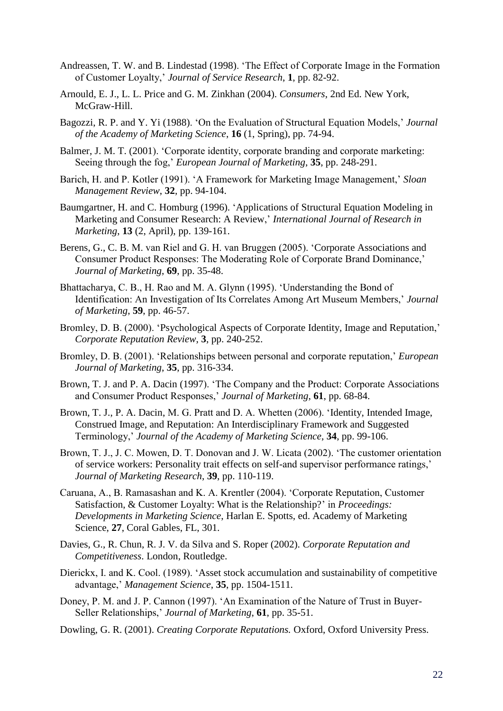- Andreassen, T. W. and B. Lindestad (1998). 'The Effect of Corporate Image in the Formation of Customer Loyalty,' *Journal of Service Research*, **1**, pp. 82-92.
- Arnould, E. J., L. L. Price and G. M. Zinkhan (2004). *Consumers*, 2nd Ed. New York, McGraw-Hill.
- Bagozzi, R. P. and Y. Yi (1988). 'On the Evaluation of Structural Equation Models,' *Journal of the Academy of Marketing Science*, **16** (1, Spring), pp. 74-94.
- Balmer, J. M. T. (2001). 'Corporate identity, corporate branding and corporate marketing: Seeing through the fog,' *European Journal of Marketing*, **35**, pp. 248-291.
- Barich, H. and P. Kotler (1991). 'A Framework for Marketing Image Management,' *Sloan Management Review*, **32**, pp. 94-104.
- Baumgartner, H. and C. Homburg (1996). 'Applications of Structural Equation Modeling in Marketing and Consumer Research: A Review,' *International Journal of Research in Marketing*, **13** (2, April), pp. 139-161.
- Berens, G., C. B. M. van Riel and G. H. van Bruggen (2005). 'Corporate Associations and Consumer Product Responses: The Moderating Role of Corporate Brand Dominance,' *Journal of Marketing*, **69**, pp. 35-48.
- Bhattacharya, C. B., H. Rao and M. A. Glynn (1995). 'Understanding the Bond of Identification: An Investigation of Its Correlates Among Art Museum Members,' *Journal of Marketing*, **59**, pp. 46-57.
- Bromley, D. B. (2000). 'Psychological Aspects of Corporate Identity, Image and Reputation,' *Corporate Reputation Review*, **3**, pp. 240-252.
- Bromley, D. B. (2001). 'Relationships between personal and corporate reputation,' *European Journal of Marketing*, **35**, pp. 316-334.
- Brown, T. J. and P. A. Dacin (1997). 'The Company and the Product: Corporate Associations and Consumer Product Responses,' *Journal of Marketing*, **61**, pp. 68-84.
- Brown, T. J., P. A. Dacin, M. G. Pratt and D. A. Whetten (2006). 'Identity, Intended Image, Construed Image, and Reputation: An Interdisciplinary Framework and Suggested Terminology,' *Journal of the Academy of Marketing Science*, **34**, pp. 99-106.
- Brown, T. J., J. C. Mowen, D. T. Donovan and J. W. Licata (2002). 'The customer orientation of service workers: Personality trait effects on self-and supervisor performance ratings,' *Journal of Marketing Research*, **39**, pp. 110-119.
- Caruana, A., B. Ramasashan and K. A. Krentler (2004). 'Corporate Reputation, Customer Satisfaction, & Customer Loyalty: What is the Relationship?' in *Proceedings: Developments in Marketing Science*, Harlan E. Spotts, ed. Academy of Marketing Science, **27**, Coral Gables, FL, 301.
- Davies, G., R. Chun, R. J. V. da Silva and S. Roper (2002). *Corporate Reputation and Competitiveness*. London, Routledge.
- Dierickx, I. and K. Cool. (1989). 'Asset stock accumulation and sustainability of competitive advantage,' *Management Science*, **35**, pp. 1504-1511.
- Doney, P. M. and J. P. Cannon (1997). 'An Examination of the Nature of Trust in Buyer-Seller Relationships,' *Journal of Marketing*, **61**, pp. 35-51.
- Dowling, G. R. (2001). *Creating Corporate Reputations.* Oxford, Oxford University Press.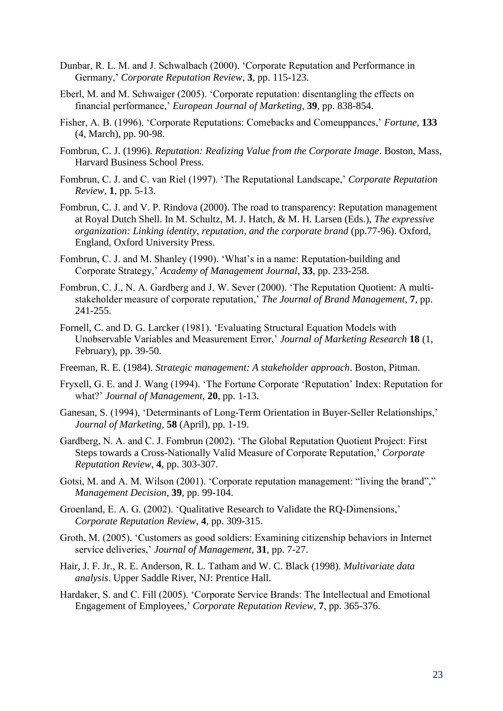- Dunbar, R. L. M. and J. Schwalbach (2000). 'Corporate Reputation and Performance in Germany,' *Corporate Reputation Review*, **3**, pp. 115-123.
- Eberl, M. and M. Schwaiger (2005). 'Corporate reputation: disentangling the effects on financial performance,' *European Journal of Marketing*, **39**, pp. 838-854.
- Fisher, A. B. (1996). 'Corporate Reputations: Comebacks and Comeuppances,' *Fortune*, **133** (4, March), pp. 90-98.
- Fombrun, C. J. (1996). *Reputation: Realizing Value from the Corporate Image*. Boston, Mass, Harvard Business School Press.
- Fombrun, C. J. and C. van Riel (1997). 'The Reputational Landscape,' *Corporate Reputation Review*, **1**, pp. 5-13.
- Fombrun, C. J. and V. P. Rindova (2000). The road to transparency: Reputation management at Royal Dutch Shell. In M. Schultz, M. J. Hatch, & M. H. Larsen (Eds.), *The expressive organization: Linking identity, reputation, and the corporate brand (pp.77-96). Oxford,* England, Oxford University Press.
- Fombrun, C. J. and M. Shanley (1990). 'What's in a name: Reputation-building and Corporate Strategy,' *Academy of Management Journal*, **33**, pp. 233-258.
- Fombrun, C. J., N. A. Gardberg and J. W. Sever (2000). 'The Reputation Quotient: A multistakeholder measure of corporate reputation,' *The Journal of Brand Management*, **7**, pp. 241-255.
- Fornell, C. and D. G. Larcker (1981). 'Evaluating Structural Equation Models with Unobservable Variables and Measurement Error,' *Journal of Marketing Research* **18** (1, February), pp. 39-50.
- Freeman, R. E. (1984). *Strategic management: A stakeholder approach*. Boston, Pitman.
- Fryxell, G. E. and J. Wang (1994). 'The Fortune Corporate 'Reputation' Index: Reputation for what?' *Journal of Management*, **20**, pp. 1-13.
- Ganesan, S. (1994), 'Determinants of Long-Term Orientation in Buyer-Seller Relationships,' *Journal of Marketing*, **58** (April), pp. 1-19.
- Gardberg, N. A. and C. J. Fombrun (2002). 'The Global Reputation Quotient Project: First Steps towards a Cross-Nationally Valid Measure of Corporate Reputation,' *Corporate Reputation Review*, **4**, pp. 303-307.
- Gotsi, M. and A. M. Wilson (2001). 'Corporate reputation management: "living the brand"," *Management Decision*, **39**, pp. 99-104.
- Groenland, E. A. G. (2002). 'Qualitative Research to Validate the RQ-Dimensions,' *Corporate Reputation Review*, **4**, pp. 309-315.
- Groth, M. (2005). 'Customers as good soldiers: Examining citizenship behaviors in Internet service deliveries,' *Journal of Management*, **31**, pp. 7-27.
- Hair, J. F. Jr., R. E. Anderson, R. L. Tatham and W. C. Black (1998). *Multivariate data analysis*. Upper Saddle River, NJ: Prentice Hall.
- Hardaker, S. and C. Fill (2005). 'Corporate Service Brands: The Intellectual and Emotional Engagement of Employees,' *Corporate Reputation Review*, **7**, pp. 365-376.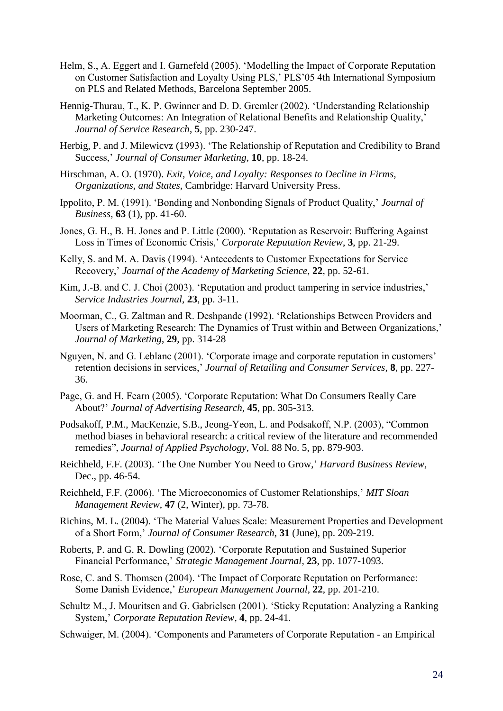- Helm, S., A. Eggert and I. Garnefeld (2005). 'Modelling the Impact of Corporate Reputation on Customer Satisfaction and Loyalty Using PLS,' PLS'05 4th International Symposium on PLS and Related Methods, Barcelona September 2005.
- Hennig-Thurau, T., K. P. Gwinner and D. D. Gremler (2002). 'Understanding Relationship Marketing Outcomes: An Integration of Relational Benefits and Relationship Quality,' *Journal of Service Research*, **5**, pp. 230-247.
- Herbig, P. and J. Milewicvz (1993). 'The Relationship of Reputation and Credibility to Brand Success,' *Journal of Consumer Marketing*, **10**, pp. 18-24.
- Hirschman, A. O. (1970). *Exit, Voice, and Loyalty: Responses to Decline in Firms, Organizations, and States*, Cambridge: Harvard University Press.
- Ippolito, P. M. (1991). 'Bonding and Nonbonding Signals of Product Quality,' *Journal of Business*, **63** (1), pp. 41-60.
- Jones, G. H., B. H. Jones and P. Little (2000). 'Reputation as Reservoir: Buffering Against Loss in Times of Economic Crisis,' *Corporate Reputation Review*, **3**, pp. 21-29.
- Kelly, S. and M. A. Davis (1994). 'Antecedents to Customer Expectations for Service Recovery,' *Journal of the Academy of Marketing Science*, **22**, pp. 52-61.
- Kim, J.-B. and C. J. Choi (2003). 'Reputation and product tampering in service industries,' *Service Industries Journal*, **23**, pp. 3-11.
- Moorman, C., G. Zaltman and R. Deshpande (1992). 'Relationships Between Providers and Users of Marketing Research: The Dynamics of Trust within and Between Organizations,' *Journal of Marketing*, **29**, pp. 314-28
- Nguyen, N. and G. Leblanc (2001). 'Corporate image and corporate reputation in customers' retention decisions in services,' *Journal of Retailing and Consumer Services*, **8**, pp. 227- 36.
- Page, G. and H. Fearn (2005). 'Corporate Reputation: What Do Consumers Really Care About?' *Journal of Advertising Research*, **45**, pp. 305-313.
- Podsakoff, P.M., MacKenzie, S.B., Jeong-Yeon, L. and Podsakoff, N.P. (2003), "Common method biases in behavioral research: a critical review of the literature and recommended remedies", *Journal of Applied Psychology*, Vol. 88 No. 5, pp. 879-903.
- Reichheld, F.F. (2003). 'The One Number You Need to Grow,' *Harvard Business Review*, Dec., pp. 46-54.
- Reichheld, F.F. (2006). 'The Microeconomics of Customer Relationships,' *MIT Sloan Management Review*, **47** (2, Winter), pp. 73-78.
- Richins, M. L. (2004). 'The Material Values Scale: Measurement Properties and Development of a Short Form,' *Journal of Consumer Research*, **31** (June), pp. 209-219.
- Roberts, P. and G. R. Dowling (2002). 'Corporate Reputation and Sustained Superior Financial Performance,' *Strategic Management Journal*, **23**, pp. 1077-1093.
- Rose, C. and S. Thomsen (2004). 'The Impact of Corporate Reputation on Performance: Some Danish Evidence,' *European Management Journal*, **22**, pp. 201-210.
- Schultz M., J. Mouritsen and G. Gabrielsen (2001). 'Sticky Reputation: Analyzing a Ranking System,' *Corporate Reputation Review*, **4**, pp. 24-41.
- Schwaiger, M. (2004). 'Components and Parameters of Corporate Reputation an Empirical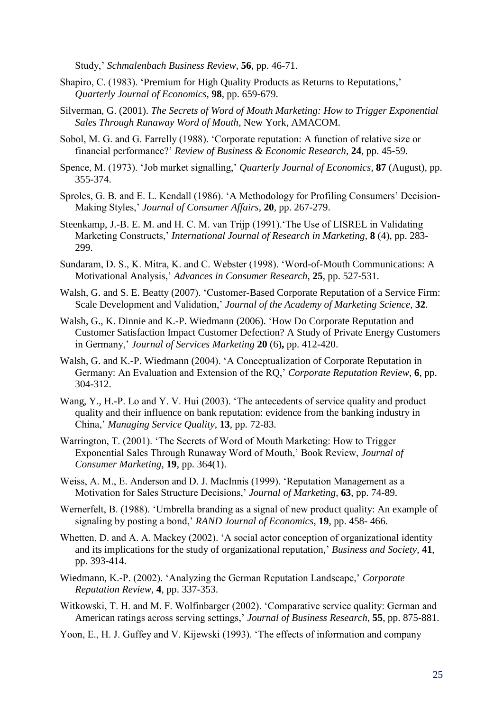Study,' *Schmalenbach Business Review*, **56**, pp. 46-71.

- Shapiro, C. (1983). 'Premium for High Quality Products as Returns to Reputations,' *Quarterly Journal of Economics*, **98**, pp. 659-679.
- Silverman, G. (2001). *The Secrets of Word of Mouth Marketing: How to Trigger Exponential Sales Through Runaway Word of Mouth*, New York, AMACOM.
- Sobol, M. G. and G. Farrelly (1988). 'Corporate reputation: A function of relative size or financial performance?' *Review of Business & Economic Research*, **24**, pp. 45-59.
- Spence, M. (1973). 'Job market signalling,' *Quarterly Journal of Economics*, **87** (August), pp. 355-374.
- Sproles, G. B. and E. L. Kendall (1986). 'A Methodology for Profiling Consumers' Decision-Making Styles,' *Journal of Consumer Affairs*, **20**, pp. 267-279.
- Steenkamp, J.-B. E. M. and H. C. M. van Trijp (1991).'The Use of LISREL in Validating Marketing Constructs,' *International Journal of Research in Marketing*, **8** (4), pp. 283- 299.
- Sundaram, D. S., K. Mitra, K. and C. Webster (1998). 'Word-of-Mouth Communications: A Motivational Analysis,' *Advances in Consumer Research*, **25**, pp. 527-531.
- Walsh, G. and S. E. Beatty (2007). 'Customer-Based Corporate Reputation of a Service Firm: Scale Development and Validation,' *Journal of the Academy of Marketing Science*, **32**.
- Walsh, G., K. Dinnie and K.-P. Wiedmann (2006). 'How Do Corporate Reputation and Customer Satisfaction Impact Customer Defection? A Study of Private Energy Customers in Germany,' *Journal of Services Marketing* **20** (6)**,** pp. 412-420.
- Walsh, G. and K.-P. Wiedmann (2004). 'A Conceptualization of Corporate Reputation in Germany: An Evaluation and Extension of the RQ,' *Corporate Reputation Review*, **6**, pp. 304-312.
- Wang, Y., H.-P. Lo and Y. V. Hui (2003). 'The antecedents of service quality and product quality and their influence on bank reputation: evidence from the banking industry in China,' *Managing Service Quality*, **13**, pp. 72-83.
- Warrington, T. (2001). 'The Secrets of Word of Mouth Marketing: How to Trigger Exponential Sales Through Runaway Word of Mouth,' Book Review, *Journal of Consumer Marketing*, **19**, pp. 364(1).
- Weiss, A. M., E. Anderson and D. J. MacInnis (1999). 'Reputation Management as a Motivation for Sales Structure Decisions,' *Journal of Marketing*, **63**, pp. 74-89.
- Wernerfelt, B. (1988). 'Umbrella branding as a signal of new product quality: An example of signaling by posting a bond,' *RAND Journal of Economics*, **19**, pp. 458- 466.
- Whetten, D. and A. A. Mackey (2002). 'A social actor conception of organizational identity and its implications for the study of organizational reputation,' *Business and Society*, **41**, pp. 393-414.
- Wiedmann, K.-P. (2002). 'Analyzing the German Reputation Landscape,' *Corporate Reputation Review*, **4**, pp. 337-353.
- Witkowski, T. H. and M. F. Wolfinbarger (2002). 'Comparative service quality: German and American ratings across serving settings,' *Journal of Business Research*, **55**, pp. 875-881.
- Yoon, E., H. J. Guffey and V. Kijewski (1993). 'The effects of information and company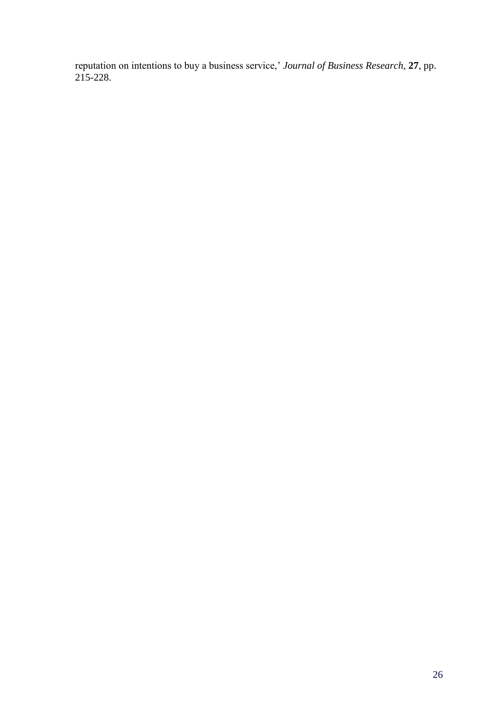reputation on intentions to buy a business service,' *Journal of Business Research*, **27**, pp. 215-228.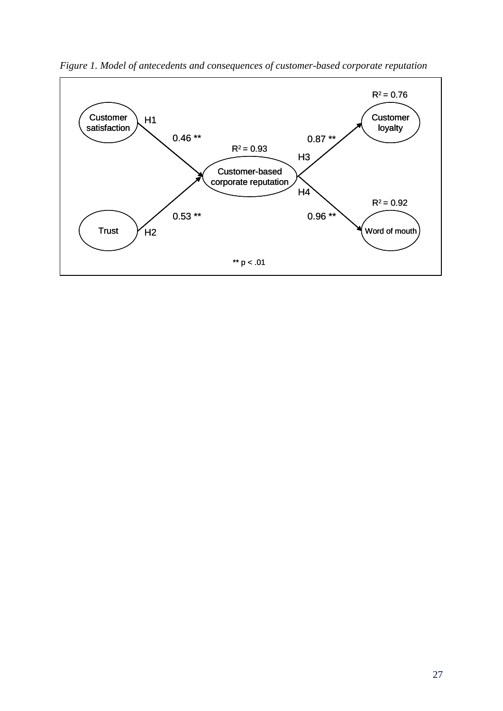

*Figure 1. Model of antecedents and consequences of customer-based corporate reputation*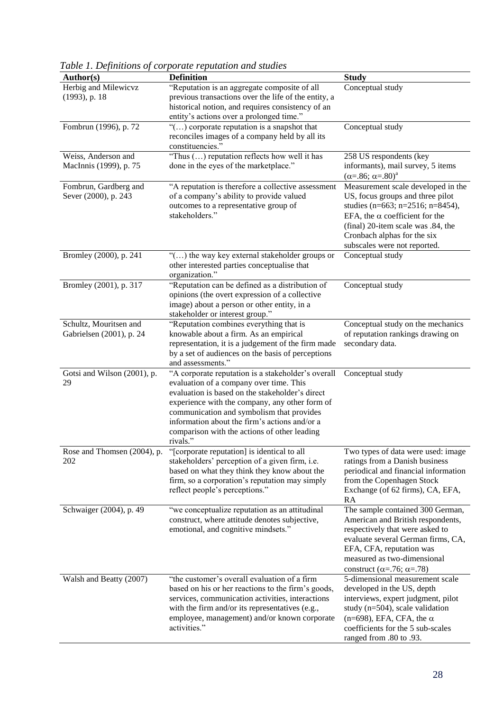| Author(s)                   | <b>Definition</b>                                                                           | <b>Study</b>                                                   |
|-----------------------------|---------------------------------------------------------------------------------------------|----------------------------------------------------------------|
| Herbig and Milewicvz        | "Reputation is an aggregate composite of all                                                | Conceptual study                                               |
| $(1993)$ , p. 18            | previous transactions over the life of the entity, a                                        |                                                                |
|                             | historical notion, and requires consistency of an                                           |                                                                |
|                             | entity's actions over a prolonged time."                                                    |                                                                |
| Fombrun (1996), p. 72       | " $()$ corporate reputation is a snapshot that                                              | Conceptual study                                               |
|                             | reconciles images of a company held by all its                                              |                                                                |
|                             | constituencies."                                                                            |                                                                |
| Weiss, Anderson and         | "Thus () reputation reflects how well it has                                                | 258 US respondents (key                                        |
| MacInnis (1999), p. 75      | done in the eyes of the marketplace."                                                       | informants), mail survey, 5 items                              |
|                             |                                                                                             | $(\alpha = 86; \alpha = 80)^{a}$                               |
| Fombrun, Gardberg and       | "A reputation is therefore a collective assessment                                          | Measurement scale developed in the                             |
| Sever (2000), p. 243        | of a company's ability to provide valued                                                    | US, focus groups and three pilot                               |
|                             | outcomes to a representative group of                                                       | studies (n=663; n=2516; n=8454),                               |
|                             | stakeholders."                                                                              | EFA, the $\alpha$ coefficient for the                          |
|                             |                                                                                             | (final) 20-item scale was .84, the                             |
|                             |                                                                                             | Cronbach alphas for the six                                    |
| Bromley (2000), p. 241      | "() the way key external stakeholder groups or                                              | subscales were not reported.<br>Conceptual study               |
|                             | other interested parties conceptualise that                                                 |                                                                |
|                             | organization."                                                                              |                                                                |
| Bromley (2001), p. 317      | "Reputation can be defined as a distribution of                                             | Conceptual study                                               |
|                             | opinions (the overt expression of a collective                                              |                                                                |
|                             | image) about a person or other entity, in a                                                 |                                                                |
|                             | stakeholder or interest group."                                                             |                                                                |
| Schultz, Mouritsen and      | "Reputation combines everything that is                                                     | Conceptual study on the mechanics                              |
| Gabrielsen (2001), p. 24    | knowable about a firm. As an empirical                                                      | of reputation rankings drawing on                              |
|                             | representation, it is a judgement of the firm made                                          | secondary data.                                                |
|                             | by a set of audiences on the basis of perceptions                                           |                                                                |
|                             | and assessments."                                                                           |                                                                |
| Gotsi and Wilson (2001), p. | "A corporate reputation is a stakeholder's overall                                          | Conceptual study                                               |
| 29                          | evaluation of a company over time. This                                                     |                                                                |
|                             | evaluation is based on the stakeholder's direct                                             |                                                                |
|                             | experience with the company, any other form of<br>communication and symbolism that provides |                                                                |
|                             | information about the firm's actions and/or a                                               |                                                                |
|                             | comparison with the actions of other leading                                                |                                                                |
|                             | rivals."                                                                                    |                                                                |
| Rose and Thomsen (2004), p. | "[corporate reputation] is identical to all                                                 | Two types of data were used: image                             |
| 202                         | stakeholders' perception of a given firm, i.e.                                              | ratings from a Danish business                                 |
|                             | based on what they think they know about the                                                | periodical and financial information                           |
|                             | firm, so a corporation's reputation may simply                                              | from the Copenhagen Stock                                      |
|                             | reflect people's perceptions."                                                              | Exchange (of 62 firms), CA, EFA,                               |
|                             |                                                                                             | RA                                                             |
| Schwaiger (2004), p. 49     | "we conceptualize reputation as an attitudinal                                              | The sample contained 300 German,                               |
|                             | construct, where attitude denotes subjective,                                               | American and British respondents,                              |
|                             | emotional, and cognitive mindsets."                                                         | respectively that were asked to                                |
|                             |                                                                                             | evaluate several German firms, CA,<br>EFA, CFA, reputation was |
|                             |                                                                                             | measured as two-dimensional                                    |
|                             |                                                                                             | construct ( $\alpha$ =.76; $\alpha$ =.78)                      |
| Walsh and Beatty (2007)     | "the customer's overall evaluation of a firm                                                | 5-dimensional measurement scale                                |
|                             | based on his or her reactions to the firm's goods,                                          | developed in the US, depth                                     |
|                             | services, communication activities, interactions                                            | interviews, expert judgment, pilot                             |
|                             | with the firm and/or its representatives (e.g.,                                             | study ( $n=504$ ), scale validation                            |
|                             | employee, management) and/or known corporate                                                | $(n=698)$ , EFA, CFA, the $\alpha$                             |
|                             | activities."                                                                                | coefficients for the 5 sub-scales                              |
|                             |                                                                                             | ranged from .80 to .93.                                        |

*Table 1. Definitions of corporate reputation and studies*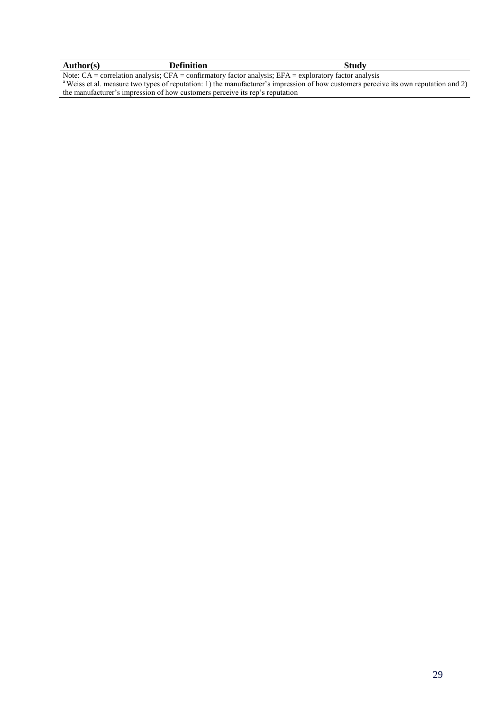| <b>Author(s)</b> | <b>Definition</b>                                                                                            | Study                                                                                                                                           |
|------------------|--------------------------------------------------------------------------------------------------------------|-------------------------------------------------------------------------------------------------------------------------------------------------|
|                  | Note: $CA = correlation$ analysis; $CFA = confirmatory$ factor analysis; $EFA = exploratory$ factor analysis |                                                                                                                                                 |
|                  |                                                                                                              | <sup>a</sup> Weiss et al. measure two types of reputation: 1) the manufacturer's impression of how customers perceive its own reputation and 2) |

the manufacturer's impression of how customers perceive its rep's reputation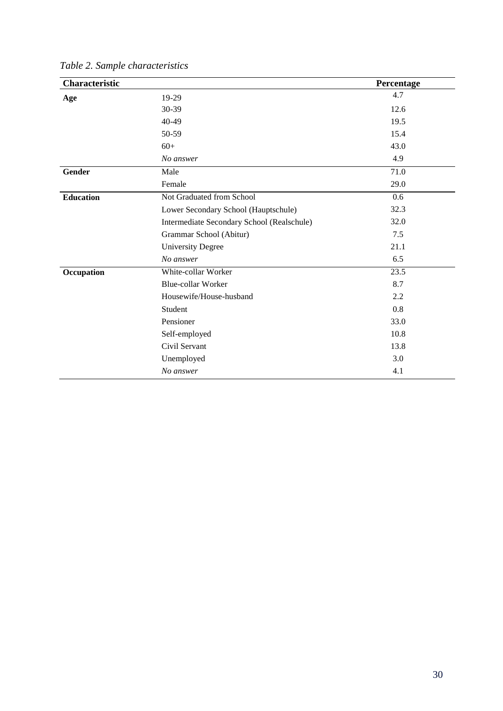| Characteristic   |                                            | Percentage |
|------------------|--------------------------------------------|------------|
| Age              | 19-29                                      | 4.7        |
|                  | 30-39                                      | 12.6       |
|                  | 40-49                                      | 19.5       |
|                  | 50-59                                      | 15.4       |
|                  | $60+$                                      | 43.0       |
|                  | No answer                                  | 4.9        |
| Gender           | Male                                       | 71.0       |
|                  | Female                                     | 29.0       |
| <b>Education</b> | Not Graduated from School                  | 0.6        |
|                  | Lower Secondary School (Hauptschule)       | 32.3       |
|                  | Intermediate Secondary School (Realschule) | 32.0       |
|                  | Grammar School (Abitur)                    | 7.5        |
|                  | <b>University Degree</b>                   | 21.1       |
|                  | No answer                                  | 6.5        |
| Occupation       | White-collar Worker                        | 23.5       |
|                  | <b>Blue-collar Worker</b>                  | 8.7        |
|                  | Housewife/House-husband                    | 2.2        |
|                  | Student                                    | 0.8        |
|                  | Pensioner                                  | 33.0       |
|                  | Self-employed                              | 10.8       |
|                  | Civil Servant                              | 13.8       |
|                  | Unemployed                                 | 3.0        |
|                  | No answer                                  | 4.1        |

*Table 2. Sample characteristics*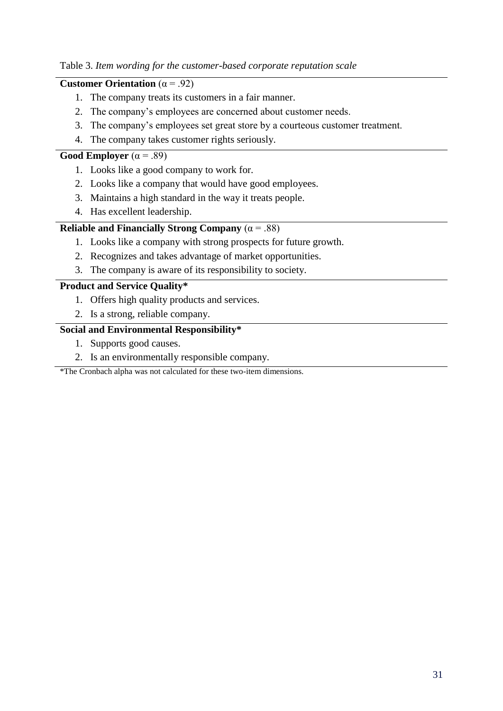Table 3. *Item wording for the customer-based corporate reputation scale*

## **Customer Orientation**  $(a = .92)$

- 1. The company treats its customers in a fair manner.
- 2. The company's employees are concerned about customer needs.
- 3. The company's employees set great store by a courteous customer treatment.
- 4. The company takes customer rights seriously.

## **Good Employer**  $(\alpha = .89)$

- 1. Looks like a good company to work for.
- 2. Looks like a company that would have good employees.
- 3. Maintains a high standard in the way it treats people.
- 4. Has excellent leadership.

## **Reliable and Financially Strong Company**  $(\alpha = .88)$

- 1. Looks like a company with strong prospects for future growth.
- 2. Recognizes and takes advantage of market opportunities.
- 3. The company is aware of its responsibility to society.

## **Product and Service Quality\***

- 1. Offers high quality products and services.
- 2. Is a strong, reliable company.

## **Social and Environmental Responsibility\***

- 1. Supports good causes.
- 2. Is an environmentally responsible company.

\*The Cronbach alpha was not calculated for these two-item dimensions.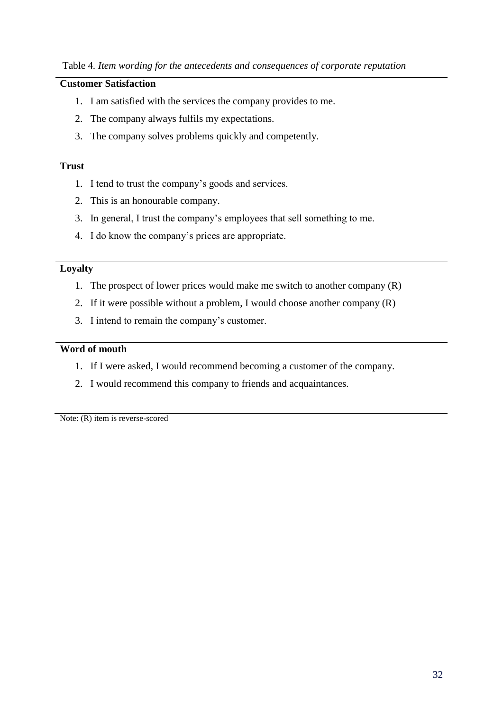Table 4*. Item wording for the antecedents and consequences of corporate reputation*

#### **Customer Satisfaction**

- 1. I am satisfied with the services the company provides to me.
- 2. The company always fulfils my expectations.
- 3. The company solves problems quickly and competently.

## **Trust**

- 1. I tend to trust the company's goods and services.
- 2. This is an honourable company.
- 3. In general, I trust the company's employees that sell something to me.
- 4. I do know the company's prices are appropriate.

#### **Loyalty**

- 1. The prospect of lower prices would make me switch to another company (R)
- 2. If it were possible without a problem, I would choose another company (R)
- 3. I intend to remain the company's customer.

## **Word of mouth**

- 1. If I were asked, I would recommend becoming a customer of the company.
- 2. I would recommend this company to friends and acquaintances.

Note: (R) item is reverse-scored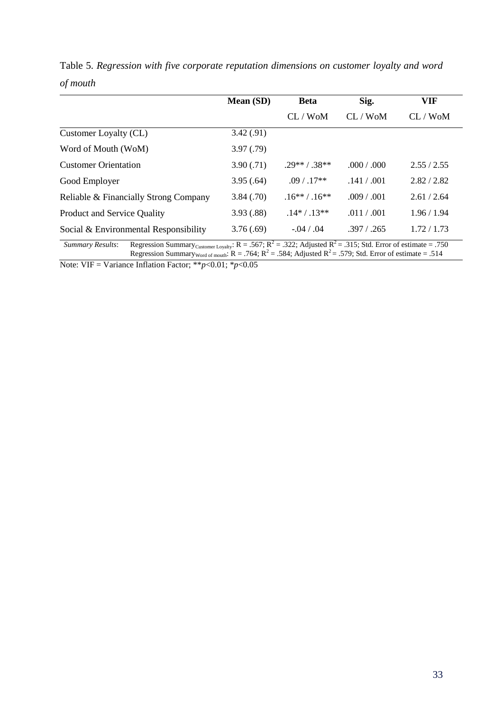| Mean (SD)  | <b>Beta</b>           | Sig.                  | <b>VIF</b>            |
|------------|-----------------------|-----------------------|-----------------------|
|            | CL / W <sub>0</sub> M | CL / W <sub>0</sub> M | CL / W <sub>0</sub> M |
| 3.42(.91)  |                       |                       |                       |
| 3.97(0.79) |                       |                       |                       |
| 3.90(.71)  | $.29**/0.38**$        | .000 / .000           | 2.55 / 2.55           |
| 3.95(.64)  | $.09 / .17**$         | .141 / .001           | 2.82 / 2.82           |
| 3.84(.70)  | $.16**/0.16**$        | .009 / .001           | 2.61 / 2.64           |
| 3.93(.88)  | $.14*/.13**$          | .011 / .001           | 1.96 / 1.94           |
| 3.76(.69)  | $-.04 / .04$          | .397 / .265           | 1.72 / 1.73           |
|            |                       |                       |                       |

Table 5. *Regression with five corporate reputation dimensions on customer loyalty and word of mouth*

*Summary Results*: Regression Summary<sub>Customer Loyalty: R = .567; R<sup>2</sup> = .322; Adjusted R<sup>2</sup> = .315; Std. Error of estimate = .750</sub> Regression Summary<sub>Word of mouth</sub>:  $R = .764$ ;  $R^2 = .584$ ; Adjusted  $R^2 = .579$ ; Std. Error of estimate = .514

Note: VIF = Variance Inflation Factor; \*\**p*<0.01; \**p*<0.05